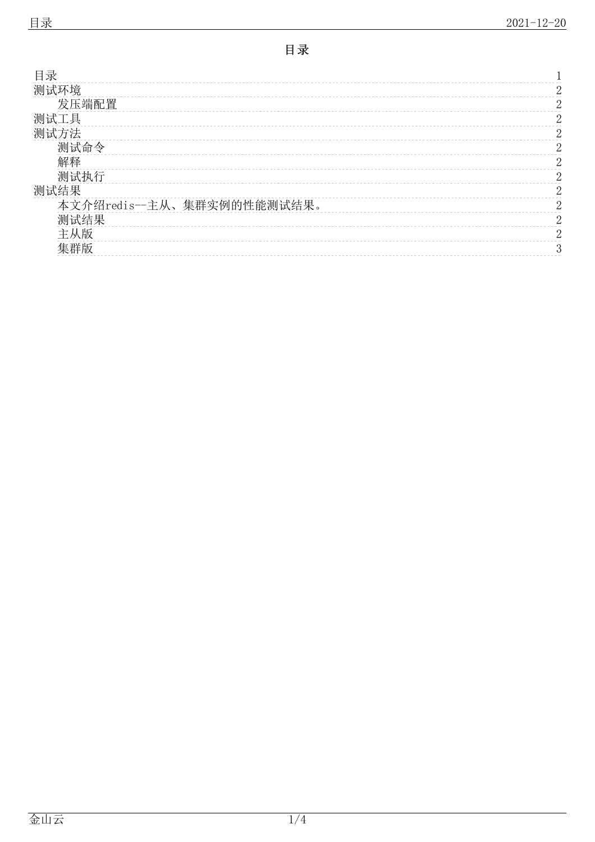<span id="page-0-0"></span>

| 目录                         |          |
|----------------------------|----------|
| 测试环境                       | ∩        |
| 发压端配置                      | റ        |
| 测试工具                       | റ        |
| 测试方法                       | റ        |
| 测试命令                       | 2        |
| 解释                         | $\Omega$ |
| 测试执行                       | റ        |
| 测试结果                       | റ        |
| 本文介绍redis--主从、集群实例的性能测试结果。 | 2        |
| 测试结果                       | $\Omega$ |
| 主从版                        | റ        |
| 隼群版                        | 3        |
|                            |          |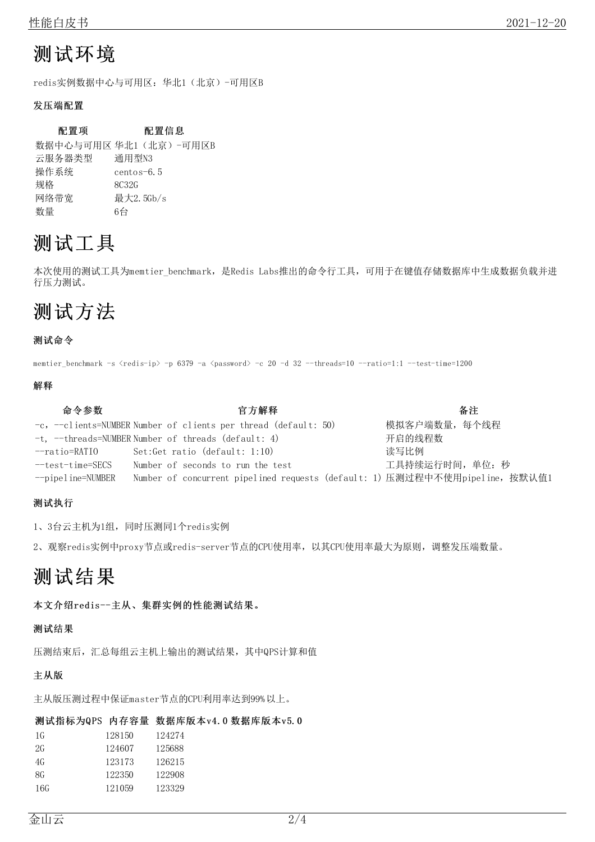# <span id="page-1-0"></span>测试环境

redis实例数据中心与可用区:华北1(北京)-可用区B

### <span id="page-1-1"></span>发压端配置

### 配置项 配置信息

数据中心与可用区 华北1 (北京)-可用区B 云服务器类型 通用型N3 操作系统 centos-6.5 规格 8C32G 网络带宽 最大2.5Gb/s 数量 6台

## <span id="page-1-2"></span>测试工具

本次使用的测试工具为memtier\_benchmark, 是Redis Labs推出的命令行工具, 可用于在键值存储数据库中生成数据负载并进 行压力测试。

# <span id="page-1-3"></span>测试方法

#### <span id="page-1-4"></span>测试命令

memtier benchmark -s  $\langle$ redis-ip $\rangle$  -p 6379 -a  $\langle$ password $\rangle$  -c 20 -d 32 --threads=10 --ratio=1:1 --test-time=1200

#### <span id="page-1-5"></span>解释

| 命令参数                   | 官方解释                                                                        | 备注              |
|------------------------|-----------------------------------------------------------------------------|-----------------|
|                        | $-c$ , $-c$ lients=NUMBER Number of clients per thread (default: 50)        | 模拟客户端数量, 每个线程   |
|                        | $-t$ , $-t$ hreads=NUMBER Number of threads (default: 4)                    | 开启的线程数          |
| --ratio=RATIO          | Set:Get ratio (default: 1:10)                                               | 读写比例            |
| $-$ test $-$ time=SECS | Number of seconds to run the test                                           | 工具持续运行时间, 单位: 秒 |
| $\neg$ pipeline=NUMBER | Number of concurrent pipelined requests (default: 1) 压测过程中不使用pipeline,按默认值1 |                 |

#### <span id="page-1-6"></span>测试执行

1、3台云主机为1组,同时压测同1个redis实例

2、观察redis实例中proxy节点或redis-server节点的CPU使用率,以其CPU使用率最大为原则,调整发压端数量。

## <span id="page-1-7"></span>测试结果

<span id="page-1-8"></span>本文介绍redis--主从、集群实例的性能测试结果。

#### <span id="page-1-9"></span>测试结果

压测结束后,汇总每组云主机上输出的测试结果,其中QPS计算和值

### <span id="page-1-10"></span>主从版

主从版压测过程中保证master节点的CPU利用率达到99%以上。

#### 测试指标为QPS 内存容量 数据库版本v4.0 数据库版本v5.0

| 1 G | 128150 | 124274 |
|-----|--------|--------|
| 2G  | 124607 | 125688 |
| 4G  | 123173 | 126215 |
| 8G  | 122350 | 122908 |
| 16G | 121059 | 123329 |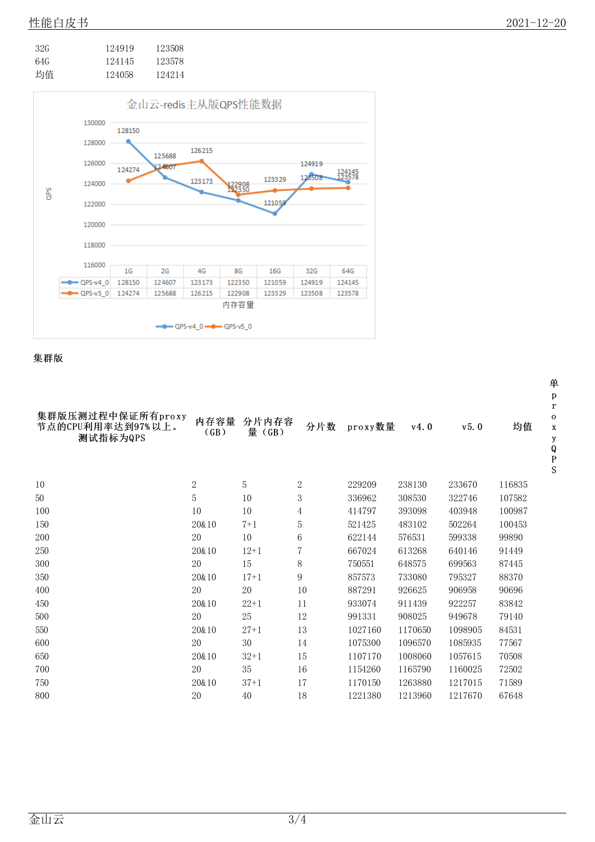| 32G | 124919 | 123508 |
|-----|--------|--------|
| 64G | 124145 | 123578 |
| 均值  | 124058 | 124214 |



<span id="page-2-0"></span>集群版

| 集群版压测过程中保证所有proxy<br>节点的CPU利用率达到97%以上。<br>测试指标为QPS | 内存容量<br>(GB) | 分片内存容<br>量 (GB) | 分片数            | proxy数量 | v4.0    | v5.0    | 均值     |
|----------------------------------------------------|--------------|-----------------|----------------|---------|---------|---------|--------|
|                                                    |              |                 |                |         |         |         |        |
| 10                                                 | 2            | 5               | 2              | 229209  | 238130  | 233670  | 116835 |
| 50                                                 | 5            | 10              | 3              | 336962  | 308530  | 322746  | 107582 |
| 100                                                | 10           | 10              | $\overline{4}$ | 414797  | 393098  | 403948  | 100987 |
| 150                                                | 20&10        | $7 + 1$         | $\overline{5}$ | 521425  | 483102  | 502264  | 100453 |
| 200                                                | 20           | 10              | 6              | 622144  | 576531  | 599338  | 99890  |
| 250                                                | 20&10        | $12+1$          | 7              | 667024  | 613268  | 640146  | 91449  |
| 300                                                | 20           | 15              | 8              | 750551  | 648575  | 699563  | 87445  |
| 350                                                | 20&10        | $17+1$          | 9              | 857573  | 733080  | 795327  | 88370  |
| 400                                                | 20           | $20\,$          | 10             | 887291  | 926625  | 906958  | 90696  |
| 450                                                | 20&10        | $22+1$          | 11             | 933074  | 911439  | 922257  | 83842  |
| 500                                                | 20           | 25              | 12             | 991331  | 908025  | 949678  | 79140  |
| 550                                                | 20&10        | $27 + 1$        | 13             | 1027160 | 1170650 | 1098905 | 84531  |
| 600                                                | 20           | 30              | 14             | 1075300 | 1096570 | 1085935 | 77567  |
| 650                                                | 20&10        | $32+1$          | 15             | 1107170 | 1008060 | 1057615 | 70508  |
| 700                                                | 20           | 35              | 16             | 1154260 | 1165790 | 1160025 | 72502  |
| 750                                                | 20&10        | $37 + 1$        | 17             | 1170150 | 1263880 | 1217015 | 71589  |
| 800                                                | 20           | 40              | 18             | 1221380 | 1213960 | 1217670 | 67648  |
|                                                    |              |                 |                |         |         |         |        |

单